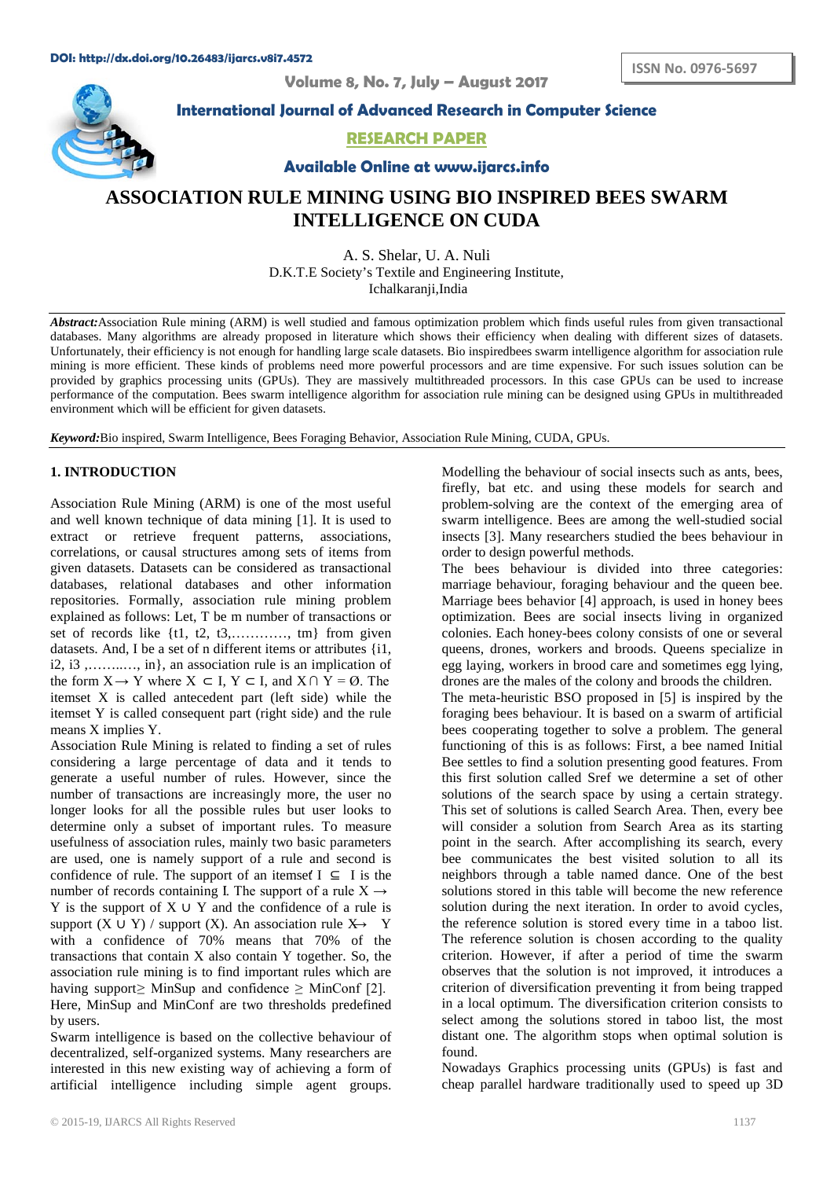**Volume 8, No. 7, July – August 2017**



**International Journal of Advanced Research in Computer Science**

## **RESEARCH PAPER**

**Available Online at www.ijarcs.info**

# **ASSOCIATION RULE MINING USING BIO INSPIRED BEES SWARM INTELLIGENCE ON CUDA**

A. S. Shelar, U. A. Nuli D.K.T.E Society's Textile and Engineering Institute, Ichalkaranji,India

*Abstract:*Association Rule mining (ARM) is well studied and famous optimization problem which finds useful rules from given transactional databases. Many algorithms are already proposed in literature which shows their efficiency when dealing with different sizes of datasets. Unfortunately, their efficiency is not enough for handling large scale datasets. Bio inspiredbees swarm intelligence algorithm for association rule mining is more efficient. These kinds of problems need more powerful processors and are time expensive. For such issues solution can be provided by graphics processing units (GPUs). They are massively multithreaded processors. In this case GPUs can be used to increase performance of the computation. Bees swarm intelligence algorithm for association rule mining can be designed using GPUs in multithreaded environment which will be efficient for given datasets.

*Keyword:*Bio inspired, Swarm Intelligence, Bees Foraging Behavior, Association Rule Mining, CUDA, GPUs.

## **1. INTRODUCTION**

Association Rule Mining (ARM) is one of the most useful and well known technique of data mining [1]. It is used to extract or retrieve frequent patterns, associations, correlations, or causal structures among sets of items from given datasets. Datasets can be considered as transactional databases, relational databases and other information repositories. Formally, association rule mining problem explained as follows: Let, T be m number of transactions or set of records like  $\{t1, t2, t3, \ldots, tm\}$  from given datasets. And, I be a set of n different items or attributes {i1, i2, i3 ,……..…, in}, an association rule is an implication of the form  $X \rightarrow Y$  where  $X \subset I$ ,  $Y \subset I$ , and  $X \cap Y = \emptyset$ . The itemset X is called antecedent part (left side) while the itemset Y is called consequent part (right side) and the rule means X implies Y.

Association Rule Mining is related to finding a set of rules considering a large percentage of data and it tends to generate a useful number of rules. However, since the number of transactions are increasingly more, the user no longer looks for all the possible rules but user looks to determine only a subset of important rules. To measure usefulness of association rules, mainly two basic parameters are used, one is namely support of a rule and second is confidence of rule. The support of an itemset  $I \subseteq I$  is the number of records containing I. The support of a rule  $X \rightarrow$ Y is the support of  $X \cup Y$  and the confidence of a rule is support (X ∪ Y) / support (X). An association rule  $X \rightarrow Y$ with a confidence of 70% means that 70% of the transactions that contain  $X$  also contain  $Y$  together. So, the association rule mining is to find important rules which are having support  $\geq$  MinSup and confidence  $\geq$  MinConf [2]. Here, MinSup and MinConf are two thresholds predefined by users.

Swarm intelligence is based on the collective behaviour of decentralized, self-organized systems. Many researchers are interested in this new existing way of achieving a form of artificial intelligence including simple agent groups.

Modelling the behaviour of social insects such as ants, bees, firefly, bat etc. and using these models for search and problem-solving are the context of the emerging area of swarm intelligence. Bees are among the well-studied social insects [3]. Many researchers studied the bees behaviour in order to design powerful methods.

The bees behaviour is divided into three categories: marriage behaviour, foraging behaviour and the queen bee. Marriage bees behavior [4] approach, is used in honey bees optimization. Bees are social insects living in organized colonies. Each honey-bees colony consists of one or several queens, drones, workers and broods. Queens specialize in egg laying, workers in brood care and sometimes egg lying, drones are the males of the colony and broods the children. The meta-heuristic BSO proposed in [5] is inspired by the foraging bees behaviour. It is based on a swarm of artificial bees cooperating together to solve a problem. The general functioning of this is as follows: First, a bee named Initial Bee settles to find a solution presenting good features. From this first solution called Sref we determine a set of other solutions of the search space by using a certain strategy. This set of solutions is called Search Area. Then, every bee will consider a solution from Search Area as its starting point in the search. After accomplishing its search, every bee communicates the best visited solution to all its neighbors through a table named dance. One of the best solutions stored in this table will become the new reference solution during the next iteration. In order to avoid cycles, the reference solution is stored every time in a taboo list. The reference solution is chosen according to the quality criterion. However, if after a period of time the swarm observes that the solution is not improved, it introduces a criterion of diversification preventing it from being trapped in a local optimum. The diversification criterion consists to select among the solutions stored in taboo list, the most distant one. The algorithm stops when optimal solution is found.

Nowadays Graphics processing units (GPUs) is fast and cheap parallel hardware traditionally used to speed up 3D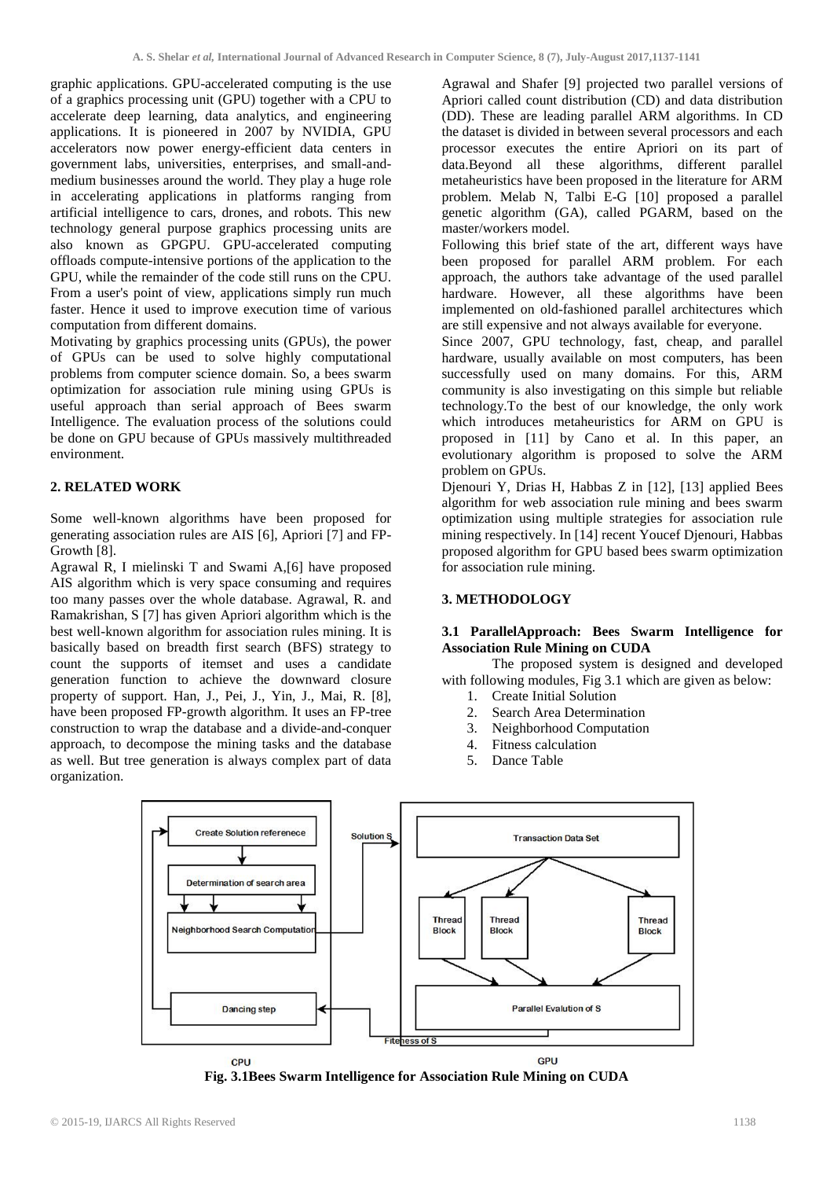graphic applications. GPU-accelerated computing is the use of a graphics processing unit (GPU) together with a CPU to accelerate deep learning, data analytics, and engineering applications. It is pioneered in 2007 by NVIDIA, GPU accelerators now power energy-efficient data centers in government labs, universities, enterprises, and small-andmedium businesses around the world. They play a huge role in accelerating applications in platforms ranging from artificial intelligence to cars, drones, and robots. This new technology general purpose graphics processing units are also known as GPGPU. GPU-accelerated computing offloads compute-intensive portions of the application to the GPU, while the remainder of the code still runs on the CPU. From a user's point of view, applications simply run much faster. Hence it used to improve execution time of various computation from different domains.

Motivating by graphics processing units (GPUs), the power of GPUs can be used to solve highly computational problems from computer science domain. So, a bees swarm optimization for association rule mining using GPUs is useful approach than serial approach of Bees swarm Intelligence. The evaluation process of the solutions could be done on GPU because of GPUs massively multithreaded environment.

### **2. RELATED WORK**

Some well-known algorithms have been proposed for generating association rules are AIS [6], Apriori [7] and FP-Growth [8].

Agrawal R, I mielinski T and Swami A,[6] have proposed AIS algorithm which is very space consuming and requires too many passes over the whole database. Agrawal, R. and Ramakrishan, S [7] has given Apriori algorithm which is the best well-known algorithm for association rules mining. It is basically based on breadth first search (BFS) strategy to count the supports of itemset and uses a candidate generation function to achieve the downward closure property of support. Han, J., Pei, J., Yin, J., Mai, R. [8], have been proposed FP-growth algorithm. It uses an FP-tree construction to wrap the database and a divide-and-conquer approach, to decompose the mining tasks and the database as well. But tree generation is always complex part of data organization.

Agrawal and Shafer [9] projected two parallel versions of Apriori called count distribution (CD) and data distribution (DD). These are leading parallel ARM algorithms. In CD the dataset is divided in between several processors and each processor executes the entire Apriori on its part of data.Beyond all these algorithms, different parallel metaheuristics have been proposed in the literature for ARM problem. Melab N, Talbi E-G [10] proposed a parallel genetic algorithm (GA), called PGARM, based on the master/workers model.

Following this brief state of the art, different ways have been proposed for parallel ARM problem. For each approach, the authors take advantage of the used parallel hardware. However, all these algorithms have been implemented on old-fashioned parallel architectures which are still expensive and not always available for everyone.

Since 2007, GPU technology, fast, cheap, and parallel hardware, usually available on most computers, has been successfully used on many domains. For this, ARM community is also investigating on this simple but reliable technology.To the best of our knowledge, the only work which introduces metaheuristics for ARM on GPU is proposed in [11] by Cano et al. In this paper, an evolutionary algorithm is proposed to solve the ARM problem on GPUs.

Djenouri Y, Drias H, Habbas Z in [12], [13] applied Bees algorithm for web association rule mining and bees swarm optimization using multiple strategies for association rule mining respectively. In [14] recent Youcef Djenouri, Habbas proposed algorithm for GPU based bees swarm optimization for association rule mining.

## **3. METHODOLOGY**

### **3.1 ParallelApproach: Bees Swarm Intelligence for Association Rule Mining on CUDA**

The proposed system is designed and developed with following modules, Fig 3.1 which are given as below:

- 1. Create Initial Solution
- 2. Search Area Determination<br>3. Neighborhood Computation
- 3. Neighborhood Computation
- 4. Fitness calculation
- 5. Dance Table



**Fig. 3.1Bees Swarm Intelligence for Association Rule Mining on CUDA**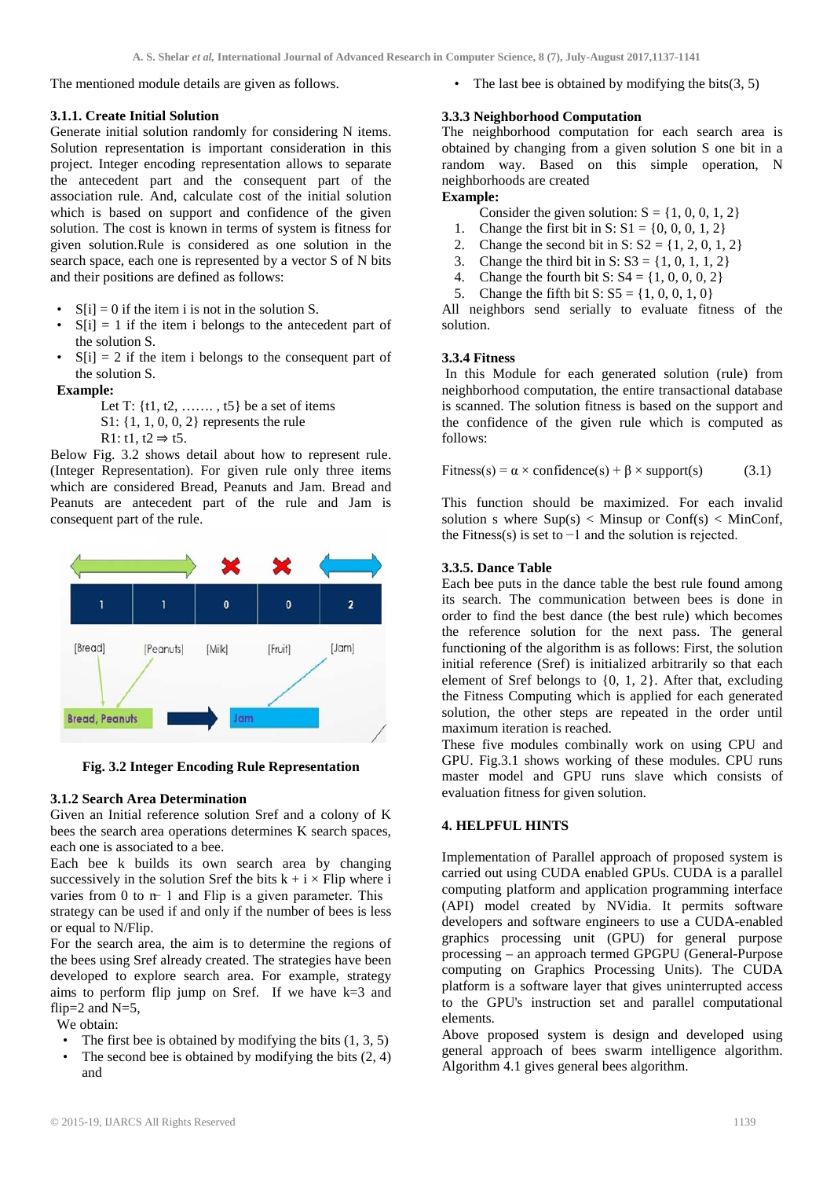The mentioned module details are given as follows.

## **3.1.1. Create Initial Solution**

Generate initial solution randomly for considering N items. Solution representation is important consideration in this project. Integer encoding representation allows to separate the antecedent part and the consequent part of the association rule. And, calculate cost of the initial solution which is based on support and confidence of the given solution. The cost is known in terms of system is fitness for given solution.Rule is considered as one solution in the search space, each one is represented by a vector S of N bits and their positions are defined as follows:

- $S[i] = 0$  if the item i is not in the solution S.
- $S[i] = 1$  if the item i belongs to the antecedent part of the solution S.
- $S[i] = 2$  if the item i belongs to the consequent part of the solution S.

## **Example:**

- Let T:  $\{t1, t2, \ldots, t5\}$  be a set of items
- S1: {1, 1, 0, 0, 2} represents the rule
- R1: t1,  $t2 \Rightarrow t5$ .

Below Fig. 3.2 shows detail about how to represent rule. (Integer Representation). For given rule only three items which are considered Bread, Peanuts and Jam. Bread and Peanuts are antecedent part of the rule and Jam is consequent part of the rule.



**Fig. 3.2 Integer Encoding Rule Representation**

## **3.1.2 Search Area Determination**

Given an Initial reference solution Sref and a colony of K bees the search area operations determines K search spaces, each one is associated to a bee.

Each bee k builds its own search area by changing successively in the solution Sref the bits  $k + i \times$  Flip where i varies from 0 to  $n - 1$  and Flip is a given parameter. This strategy can be used if and only if the number of bees is less or equal to N/Flip.

For the search area, the aim is to determine the regions of the bees using Sref already created. The strategies have been developed to explore search area. For example, strategy aims to perform flip jump on Sref. If we have  $k=3$  and flip= $2$  and N= $5$ ,

We obtain:

- The first bee is obtained by modifying the bits  $(1, 3, 5)$
- The second bee is obtained by modifying the bits  $(2, 4)$ and

• The last bee is obtained by modifying the bits $(3, 5)$ 

## **3.3.3 Neighborhood Computation**

The neighborhood computation for each search area is obtained by changing from a given solution S one bit in a random way. Based on this simple operation, N neighborhoods are created

## **Example:**

- Consider the given solution:  $S = \{1, 0, 0, 1, 2\}$
- 1. Change the first bit in S:  $S1 = \{0, 0, 0, 1, 2\}$
- 2. Change the second bit in S:  $S2 = \{1, 2, 0, 1, 2\}$ <br>3. Change the third bit in S:  $S3 = \{1, 0, 1, 1, 2\}$
- Change the third bit in S:  $S3 = \{1, 0, 1, 1, 2\}$
- 4. Change the fourth bit S:  $S4 = \{1, 0, 0, 0, 2\}$
- 5. Change the fifth bit S:  $S5 = \{1, 0, 0, 1, 0\}$

All neighbors send serially to evaluate fitness of the solution.

## **3.3.4 Fitness**

In this Module for each generated solution (rule) from neighborhood computation, the entire transactional database is scanned. The solution fitness is based on the support and the confidence of the given rule which is computed as follows:

$$
Fitness(s) = \alpha \times confidence(s) + \beta \times support(s)
$$
 (3.1)

This function should be maximized. For each invalid solution s where  $Sup(s) <$  Minsup or Conf(s) < MinConf, the Fitness(s) is set to  $-1$  and the solution is rejected.

## **3.3.5. Dance Table**

Each bee puts in the dance table the best rule found among its search. The communication between bees is done in order to find the best dance (the best rule) which becomes the reference solution for the next pass. The general functioning of the algorithm is as follows: First, the solution initial reference (Sref) is initialized arbitrarily so that each element of Sref belongs to {0, 1, 2}. After that, excluding the Fitness Computing which is applied for each generated solution, the other steps are repeated in the order until maximum iteration is reached.

These five modules combinally work on using CPU and GPU. Fig.3.1 shows working of these modules. CPU runs master model and GPU runs slave which consists of evaluation fitness for given solution.

## **4. HELPFUL HINTS**

Implementation of Parallel approach of proposed system is carried out using CUDA enabled GPUs. CUDA is a parallel computing platform and application programming interface (API) model created by NVidia. It permits software developers and software engineers to use a CUDA-enabled graphics processing unit (GPU) for general purpose processing – an approach termed GPGPU (General-Purpose computing on Graphics Processing Units). The CUDA platform is a software layer that gives uninterrupted access to the GPU's instruction set and parallel computational elements.

Above proposed system is design and developed using general approach of bees swarm intelligence algorithm. Algorithm 4.1 gives general bees algorithm.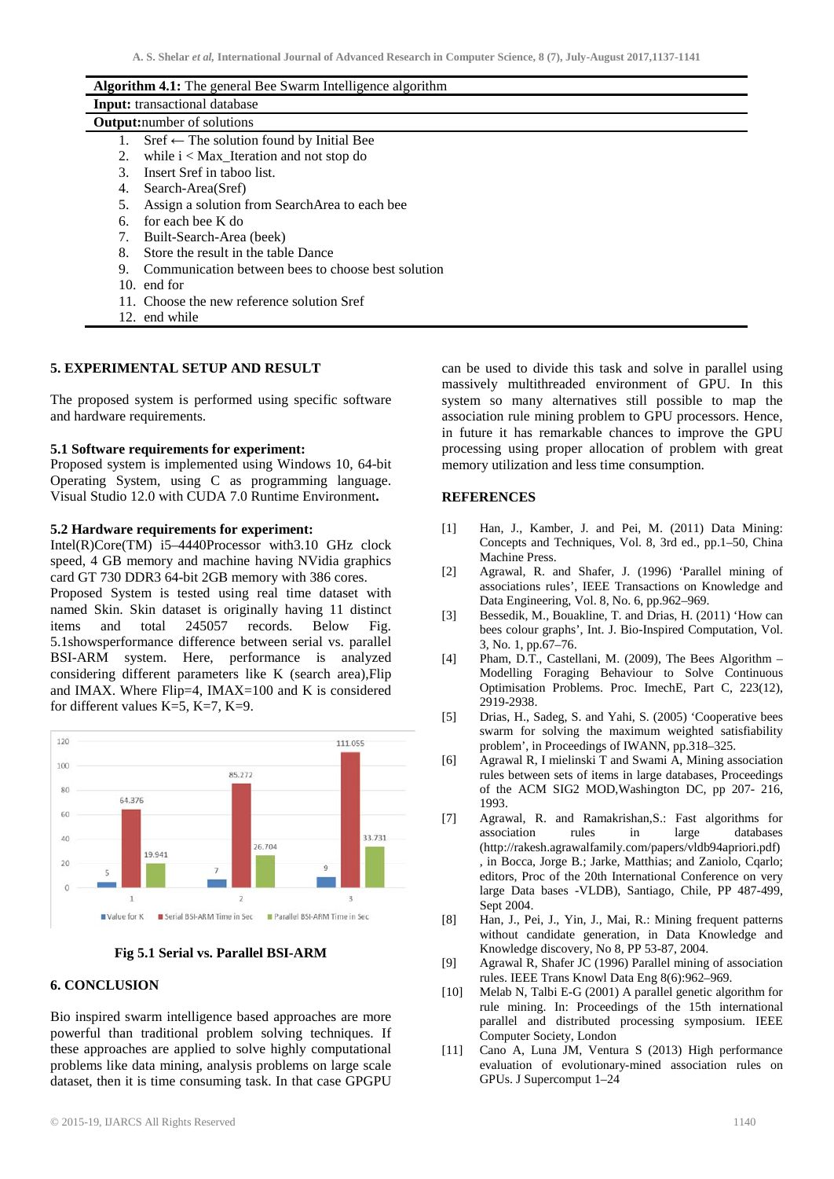| <b>Algorithm 4.1:</b> The general Bee Swarm Intelligence algorithm |  |
|--------------------------------------------------------------------|--|
| <b>Input:</b> transactional database                               |  |
| <b>Output:</b> number of solutions                                 |  |
| $Sref \leftarrow$ The solution found by Initial Bee<br>1.          |  |
| while $i <$ Max_Iteration and not stop do<br>2.                    |  |
| Insert Sref in taboo list.<br>3                                    |  |
| Search-Area(Sref)<br>4.                                            |  |
| Assign a solution from SearchArea to each bee<br>5.                |  |
| for each bee K do<br>6.                                            |  |
| Built-Search-Area (beek)<br>7.                                     |  |
| Store the result in the table Dance<br>8.                          |  |
| Communication between bees to choose best solution<br>9.           |  |
| 10. end for                                                        |  |
| 11. Choose the new reference solution Sref                         |  |
| 12. end while                                                      |  |

### **5. EXPERIMENTAL SETUP AND RESULT**

The proposed system is performed using specific software and hardware requirements.

#### **5.1 Software requirements for experiment:**

Proposed system is implemented using Windows 10, 64-bit Operating System, using C as programming language. Visual Studio 12.0 with CUDA 7.0 Runtime Environment**.**

### **5.2 Hardware requirements for experiment:**

Intel(R)Core(TM) i5–4440Processor with3.10 GHz clock speed, 4 GB memory and machine having NVidia graphics card GT 730 DDR3 64-bit 2GB memory with 386 cores. Proposed System is tested using real time dataset with named Skin. Skin dataset is originally having 11 distinct items and total 245057 records. Below Fig. 5.1showsperformance difference between serial vs. parallel BSI-ARM system. Here, performance is analyzed considering different parameters like K (search area),Flip and IMAX. Where Flip=4, IMAX=100 and K is considered for different values K=5, K=7, K=9.



#### **Fig 5.1 Serial vs. Parallel BSI-ARM**

### **6. CONCLUSION**

Bio inspired swarm intelligence based approaches are more powerful than traditional problem solving techniques. If these approaches are applied to solve highly computational problems like data mining, analysis problems on large scale dataset, then it is time consuming task. In that case GPGPU

© 2015-19, IJARCS All Rights Reserved 1140

can be used to divide this task and solve in parallel using massively multithreaded environment of GPU. In this system so many alternatives still possible to map the association rule mining problem to GPU processors. Hence, in future it has remarkable chances to improve the GPU processing using proper allocation of problem with great memory utilization and less time consumption.

## **REFERENCES**

- [1] Han, J., Kamber, J. and Pei, M. (2011) Data Mining: Concepts and Techniques, Vol. 8, 3rd ed., pp.1–50, China Machine Press.
- [2] Agrawal, R. and Shafer, J. (1996) 'Parallel mining of associations rules', IEEE Transactions on Knowledge and Data Engineering, Vol. 8, No. 6, pp.962–969.
- [3] Bessedik, M., Bouakline, T. and Drias, H. (2011) 'How can bees colour graphs', Int. J. Bio-Inspired Computation, Vol. 3, No. 1, pp.67–76.
- [4] Pham, D.T., Castellani, M. (2009), The Bees Algorithm Modelling Foraging Behaviour to Solve Continuous Optimisation Problems. Proc. ImechE, Part C, 223(12), 2919-2938.
- [5] Drias, H., Sadeg, S. and Yahi, S. (2005) 'Cooperative bees swarm for solving the maximum weighted satisfiability problem', in Proceedings of IWANN, pp.318–325.
- [6] Agrawal R, I mielinski T and Swami A, Mining association rules between sets of items in large databases, Proceedings of the ACM SIG2 MOD,Washington DC, pp 207- 216, 1993.
- [7] Agrawal, R. and Ramakrishan,S.: Fast algorithms for association rules in large databases (http://rakesh.agrawalfamily.com/papers/vldb94apriori.pdf) , in Bocca, Jorge B.; Jarke, Matthias; and Zaniolo, Cqarlo; editors, Proc of the 20th International Conference on very large Data bases -VLDB), Santiago, Chile, PP 487-499, Sept 2004.
- [8] Han, J., Pei, J., Yin, J., Mai, R.: Mining frequent patterns without candidate generation, in Data Knowledge and Knowledge discovery, No 8, PP 53-87, 2004.
- [9] Agrawal R, Shafer JC (1996) Parallel mining of association rules. IEEE Trans Knowl Data Eng 8(6):962–969.
- [10] Melab N, Talbi E-G (2001) A parallel genetic algorithm for rule mining. In: Proceedings of the 15th international parallel and distributed processing symposium. IEEE Computer Society, London
- [11] Cano A, Luna JM, Ventura S (2013) High performance evaluation of evolutionary-mined association rules on GPUs. J Supercomput 1–24